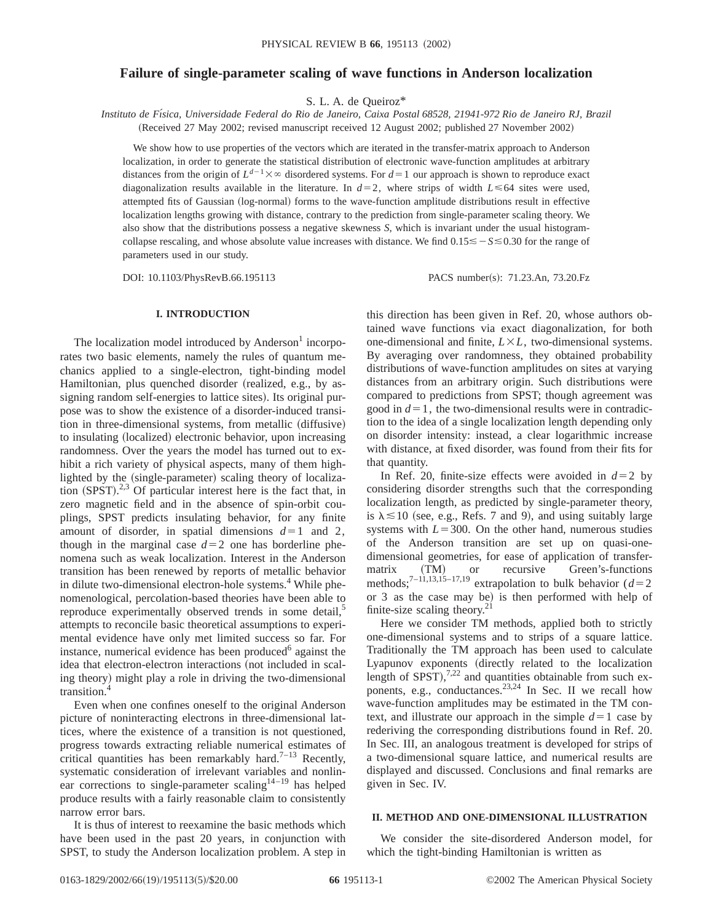# **Failure of single-parameter scaling of wave functions in Anderson localization**

S. L. A. de Queiroz\*

*Instituto de Fı´sica, Universidade Federal do Rio de Janeiro, Caixa Postal 68528, 21941-972 Rio de Janeiro RJ, Brazil* (Received 27 May 2002; revised manuscript received 12 August 2002; published 27 November 2002)

We show how to use properties of the vectors which are iterated in the transfer-matrix approach to Anderson localization, in order to generate the statistical distribution of electronic wave-function amplitudes at arbitrary distances from the origin of  $L^{d-1}\times\infty$  disordered systems. For  $d=1$  our approach is shown to reproduce exact diagonalization results available in the literature. In  $d=2$ , where strips of width  $L \le 64$  sites were used, attempted fits of Gaussian (log-normal) forms to the wave-function amplitude distributions result in effective localization lengths growing with distance, contrary to the prediction from single-parameter scaling theory. We also show that the distributions possess a negative skewness *S*, which is invariant under the usual histogramcollapse rescaling, and whose absolute value increases with distance. We find  $0.15 \leq -S \leq 0.30$  for the range of parameters used in our study.

DOI: 10.1103/PhysRevB.66.195113 PACS number(s): 71.23.An, 73.20.Fz

## **I. INTRODUCTION**

The localization model introduced by Anderson<sup>1</sup> incorporates two basic elements, namely the rules of quantum mechanics applied to a single-electron, tight-binding model Hamiltonian, plus quenched disorder (realized, e.g., by assigning random self-energies to lattice sites). Its original purpose was to show the existence of a disorder-induced transition in three-dimensional systems, from metallic (diffusive) to insulating (localized) electronic behavior, upon increasing randomness. Over the years the model has turned out to exhibit a rich variety of physical aspects, many of them highlighted by the (single-parameter) scaling theory of localization  $(SPST).^{2,3}$  Of particular interest here is the fact that, in zero magnetic field and in the absence of spin-orbit couplings, SPST predicts insulating behavior, for any finite amount of disorder, in spatial dimensions  $d=1$  and 2, though in the marginal case  $d=2$  one has borderline phenomena such as weak localization. Interest in the Anderson transition has been renewed by reports of metallic behavior in dilute two-dimensional electron-hole systems.<sup>4</sup> While phenomenological, percolation-based theories have been able to reproduce experimentally observed trends in some detail,<sup>5</sup> attempts to reconcile basic theoretical assumptions to experimental evidence have only met limited success so far. For instance, numerical evidence has been produced $6$  against the idea that electron-electron interactions (not included in scaling theory) might play a role in driving the two-dimensional transition.<sup>4</sup>

Even when one confines oneself to the original Anderson picture of noninteracting electrons in three-dimensional lattices, where the existence of a transition is not questioned, progress towards extracting reliable numerical estimates of critical quantities has been remarkably hard.<sup>7–13</sup> Recently, systematic consideration of irrelevant variables and nonlinear corrections to single-parameter scaling<sup>14-19</sup> has helped produce results with a fairly reasonable claim to consistently narrow error bars.

It is thus of interest to reexamine the basic methods which have been used in the past 20 years, in conjunction with SPST, to study the Anderson localization problem. A step in

this direction has been given in Ref. 20, whose authors obtained wave functions via exact diagonalization, for both one-dimensional and finite,  $L \times L$ , two-dimensional systems. By averaging over randomness, they obtained probability distributions of wave-function amplitudes on sites at varying distances from an arbitrary origin. Such distributions were compared to predictions from SPST; though agreement was good in  $d=1$ , the two-dimensional results were in contradiction to the idea of a single localization length depending only on disorder intensity: instead, a clear logarithmic increase with distance, at fixed disorder, was found from their fits for that quantity.

In Ref. 20, finite-size effects were avoided in  $d=2$  by considering disorder strengths such that the corresponding localization length, as predicted by single-parameter theory, is  $\lambda \leq 10$  (see, e.g., Refs. 7 and 9), and using suitably large systems with  $L=300$ . On the other hand, numerous studies of the Anderson transition are set up on quasi-onedimensional geometries, for ease of application of transfermatrix (TM) or recursive Green's-functions methods;<sup>7–11,13,15–17,19</sup> extrapolation to bulk behavior ( $d=2$ ) or 3 as the case may be) is then performed with help of finite-size scaling theory.21

Here we consider TM methods, applied both to strictly one-dimensional systems and to strips of a square lattice. Traditionally the TM approach has been used to calculate Lyapunov exponents (directly related to the localization length of  $SPST$ ),<sup>7,22</sup> and quantities obtainable from such exponents, e.g., conductances.<sup>23,24</sup> In Sec. II we recall how wave-function amplitudes may be estimated in the TM context, and illustrate our approach in the simple  $d=1$  case by rederiving the corresponding distributions found in Ref. 20. In Sec. III, an analogous treatment is developed for strips of a two-dimensional square lattice, and numerical results are displayed and discussed. Conclusions and final remarks are given in Sec. IV.

#### **II. METHOD AND ONE-DIMENSIONAL ILLUSTRATION**

We consider the site-disordered Anderson model, for which the tight-binding Hamiltonian is written as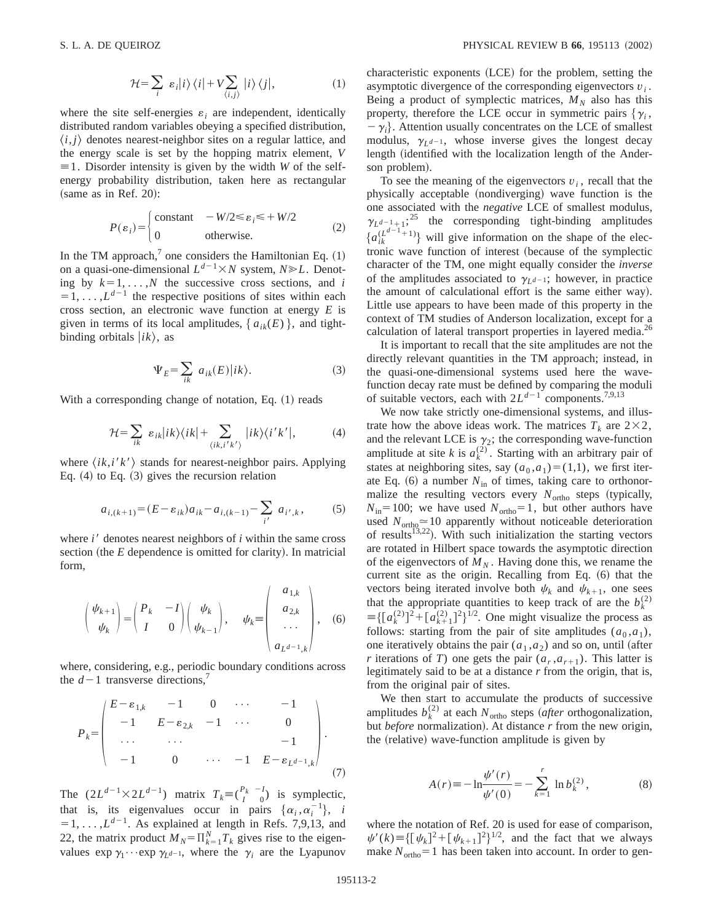$$
\mathcal{H} = \sum_{i} \varepsilon_{i} |i\rangle \langle i| + V \sum_{\langle i,j \rangle} |i\rangle \langle j|, \tag{1}
$$

where the site self-energies  $\varepsilon_i$  are independent, identically distributed random variables obeying a specified distribution,  $\langle i, j \rangle$  denotes nearest-neighbor sites on a regular lattice, and the energy scale is set by the hopping matrix element, *V*  $\equiv$  1. Disorder intensity is given by the width *W* of the selfenergy probability distribution, taken here as rectangular  $(same as in Ref. 20):$ 

$$
P(\varepsilon_i) = \begin{cases} \text{constant} & -W/2 \le \varepsilon_i \le +W/2\\ 0 & \text{otherwise.} \end{cases} \tag{2}
$$

In the TM approach, $<sup>7</sup>$  one considers the Hamiltonian Eq. (1)</sup> on a quasi-one-dimensional  $L^{d-1} \times N$  system,  $N \ge L$ . Denoting by  $k=1, ..., N$  the successive cross sections, and *i*  $=1, \ldots, L^{d-1}$  the respective positions of sites within each cross section, an electronic wave function at energy *E* is given in terms of its local amplitudes,  $\{a_{ik}(E)\}\$ , and tightbinding orbitals  $|i k\rangle$ , as

$$
\Psi_E = \sum_{ik} a_{ik}(E)|ik\rangle. \tag{3}
$$

With a corresponding change of notation, Eq.  $(1)$  reads

$$
\mathcal{H} = \sum_{ik} \varepsilon_{ik} |ik\rangle \langle ik| + \sum_{\langle ik, i'k'\rangle} |ik\rangle \langle i'k'|,\tag{4}
$$

where  $\langle i\,, i\,k'\rangle$  stands for nearest-neighbor pairs. Applying Eq.  $(4)$  to Eq.  $(3)$  gives the recursion relation

$$
a_{i,(k+1)} = (E - \varepsilon_{ik})a_{ik} - a_{i,(k-1)} - \sum_{i'} a_{i',k},
$$
 (5)

where  $i'$  denotes nearest neighbors of  $i$  within the same cross section (the *E* dependence is omitted for clarity). In matricial form,

$$
\begin{pmatrix} \psi_{k+1} \\ \psi_k \end{pmatrix} = \begin{pmatrix} P_k & -I \\ I & 0 \end{pmatrix} \begin{pmatrix} \psi_k \\ \psi_{k-1} \end{pmatrix}, \quad \psi_k \equiv \begin{pmatrix} a_{1,k} \\ a_{2,k} \\ \dots \\ a_{L^{d-1},k} \end{pmatrix}, \quad (6)
$$

where, considering, e.g., periodic boundary conditions across the  $d-1$  transverse directions,<sup>7</sup>

$$
P_{k} = \begin{pmatrix} E - \varepsilon_{1,k} & -1 & 0 & \cdots & -1 \\ -1 & E - \varepsilon_{2,k} & -1 & \cdots & 0 \\ \cdots & \cdots & \cdots & & -1 \\ -1 & 0 & \cdots & -1 & E - \varepsilon_{L^{d-1},k} \end{pmatrix}.
$$
(7)

The  $(2L^{d-1} \times 2L^{d-1})$  matrix  $T_k \equiv {P_k - I \choose I}$  is symplectic, that is, its eigenvalues occur in pairs  $\{\alpha_i, \alpha_i^{-1}\}, i$  $=1, \ldots, L^{d-1}$ . As explained at length in Refs. 7,9,13, and 22, the matrix product  $M_N = \prod_{k=1}^N T_k$  gives rise to the eigenvalues  $\exp \gamma_1 \cdots \exp \gamma_L d-1$ , where the  $\gamma_i$  are the Lyapunov  $characteristic$  exponents  $(LCE)$  for the problem, setting the asymptotic divergence of the corresponding eigenvectors *v<sup>i</sup>* . Being a product of symplectic matrices,  $M_N$  also has this property, therefore the LCE occur in symmetric pairs  $\{\gamma_i,$  $-\gamma_i$ . Attention usually concentrates on the LCE of smallest modulus,  $\gamma_{L^{d-1}}$ , whose inverse gives the longest decay length (identified with the localization length of the Anderson problem).

To see the meaning of the eigenvectors  $v_i$ , recall that the physically acceptable (nondiverging) wave function is the one associated with the *negative* LCE of smallest modulus,  $\gamma_{L^{d-1}+1}$ ;<sup>25</sup> the corresponding tight-binding amplitudes  ${a_{ik}^{(L^{d-1}+1)}}$  will give information on the shape of the electronic wave function of interest (because of the symplectic character of the TM, one might equally consider the *inverse* of the amplitudes associated to  $\gamma_{L^{d-1}}$ ; however, in practice the amount of calculational effort is the same either way). Little use appears to have been made of this property in the context of TM studies of Anderson localization, except for a calculation of lateral transport properties in layered media.<sup>26</sup>

It is important to recall that the site amplitudes are not the directly relevant quantities in the TM approach; instead, in the quasi-one-dimensional systems used here the wavefunction decay rate must be defined by comparing the moduli of suitable vectors, each with  $2L^{d-1}$  components.<sup>7,9,13</sup>

We now take strictly one-dimensional systems, and illustrate how the above ideas work. The matrices  $T_k$  are  $2 \times 2$ , and the relevant LCE is  $\gamma_2$ ; the corresponding wave-function amplitude at site *k* is  $a_k^{(2)}$ . Starting with an arbitrary pair of states at neighboring sites, say  $(a_0, a_1)=(1,1)$ , we first iterate Eq.  $(6)$  a number  $N_{in}$  of times, taking care to orthonormalize the resulting vectors every  $N_{\text{ortho}}$  steps (typically,  $N_{\text{in}}=100$ ; we have used  $N_{\text{ortho}}=1$ , but other authors have used  $N_{\text{ortho}} \approx 10$  apparently without noticeable deterioration of results<sup>13,22</sup>). With such initialization the starting vectors are rotated in Hilbert space towards the asymptotic direction of the eigenvectors of  $M_N$ . Having done this, we rename the current site as the origin. Recalling from Eq.  $(6)$  that the vectors being iterated involve both  $\psi_k$  and  $\psi_{k+1}$ , one sees that the appropriate quantities to keep track of are the  $b_k^{(2)}$  $\equiv \left\{ \left[ a_k^{(2)} \right]^2 + \left[ a_{k+1}^{(2)} \right]^2 \right\}^{1/2}$ . One might visualize the process as follows: starting from the pair of site amplitudes  $(a_0, a_1)$ , one iteratively obtains the pair  $(a_1, a_2)$  and so on, until (after *r* iterations of *T*) one gets the pair  $(a_r, a_{r+1})$ . This latter is legitimately said to be at a distance *r* from the origin, that is, from the original pair of sites.

We then start to accumulate the products of successive amplitudes  $b_k^{(2)}$  at each  $N_{\text{ortho}}$  steps (*after* orthogonalization, but *before* normalization). At distance *r* from the new origin, the (relative) wave-function amplitude is given by

$$
A(r) \equiv -\ln \frac{\psi'(r)}{\psi'(0)} = -\sum_{k=1}^{r} \ln b_k^{(2)},
$$
 (8)

where the notation of Ref. 20 is used for ease of comparison,  $\psi'(k) = \{ [\psi_k]^2 + [\psi_{k+1}]^2 \}^{1/2}$ , and the fact that we always make  $N_{\text{ortho}}=1$  has been taken into account. In order to gen-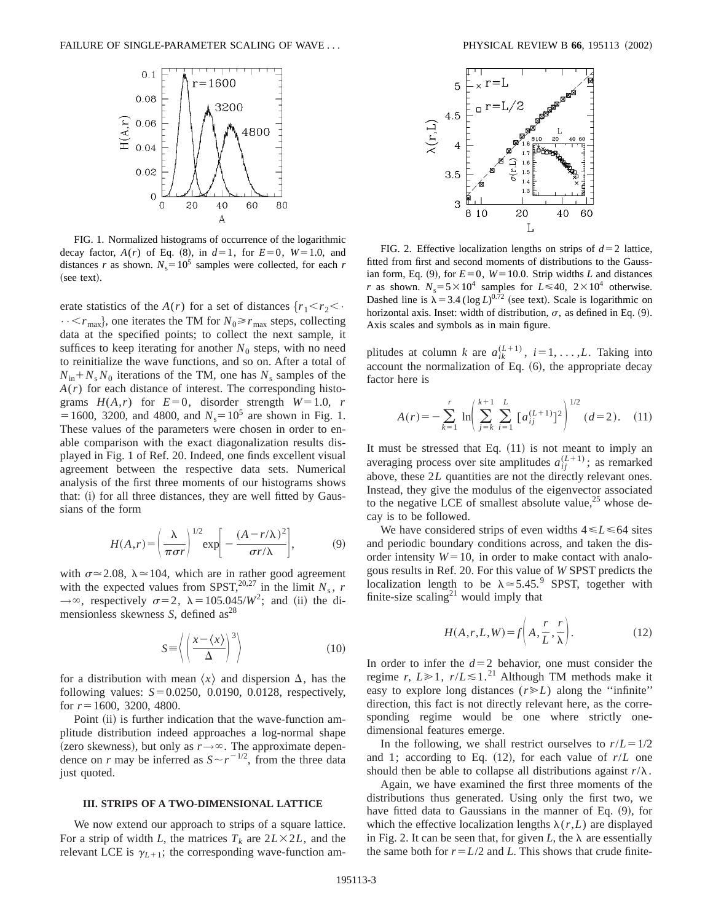

FIG. 1. Normalized histograms of occurrence of the logarithmic decay factor,  $A(r)$  of Eq. (8), in  $d=1$ , for  $E=0$ ,  $W=1.0$ , and distances *r* as shown.  $N_s = 10^5$  samples were collected, for each *r* (see text).

erate statistics of the *A*(*r*) for a set of distances  $\{r_1 \le r_2 \le \cdot\}$  $\cdots$  <  $r_{\text{max}}$ , one iterates the TM for  $N_0 \ge r_{\text{max}}$  steps, collecting data at the specified points; to collect the next sample, it suffices to keep iterating for another  $N_0$  steps, with no need to reinitialize the wave functions, and so on. After a total of  $N_{\text{in}}+N_s N_0$  iterations of the TM, one has  $N_s$  samples of the  $A(r)$  for each distance of interest. The corresponding histograms  $H(A,r)$  for  $E=0$ , disorder strength  $W=1.0$ , *r*  $=1600$ , 3200, and 4800, and  $N_s = 10^5$  are shown in Fig. 1. These values of the parameters were chosen in order to enable comparison with the exact diagonalization results displayed in Fig. 1 of Ref. 20. Indeed, one finds excellent visual agreement between the respective data sets. Numerical analysis of the first three moments of our histograms shows that: (i) for all three distances, they are well fitted by Gaussians of the form

$$
H(A,r) = \left(\frac{\lambda}{\pi\sigma r}\right)^{1/2} \exp\left[-\frac{(A-r/\lambda)^2}{\sigma r/\lambda}\right],\tag{9}
$$

with  $\sigma \approx 2.08$ ,  $\lambda \approx 104$ , which are in rather good agreement with the expected values from SPST,<sup>20,27</sup> in the limit  $N_s$ ,  $r$  $\rightarrow \infty$ , respectively  $\sigma=2$ ,  $\lambda=105.045/W^2$ ; and (ii) the dimensionless skewness *S*, defined as<sup>28</sup>

$$
S = \left\langle \left( \frac{x - \langle x \rangle}{\Delta} \right)^3 \right\rangle \tag{10}
$$

for a distribution with mean  $\langle x \rangle$  and dispersion  $\Delta$ , has the following values:  $S = 0.0250, 0.0190, 0.0128$ , respectively, for  $r=1600$ , 3200, 4800.

Point (ii) is further indication that the wave-function amplitude distribution indeed approaches a log-normal shape (zero skewness), but only as  $r \rightarrow \infty$ . The approximate dependence on *r* may be inferred as  $S \sim r^{-1/2}$ , from the three data just quoted.

## **III. STRIPS OF A TWO-DIMENSIONAL LATTICE**

We now extend our approach to strips of a square lattice. For a strip of width *L*, the matrices  $T_k$  are  $2L \times 2L$ , and the relevant LCE is  $\gamma_{L+1}$ ; the corresponding wave-function am-



FIG. 2. Effective localization lengths on strips of  $d=2$  lattice, fitted from first and second moments of distributions to the Gaussian form, Eq. (9), for  $E=0$ ,  $W=10.0$ . Strip widths *L* and distances *r* as shown.  $N_s = 5 \times 10^4$  samples for  $L \le 40$ ,  $2 \times 10^4$  otherwise. Dashed line is  $\lambda = 3.4$  (log *L*)<sup>0.72</sup> (see text). Scale is logarithmic on horizontal axis. Inset: width of distribution,  $\sigma$ , as defined in Eq. (9). Axis scales and symbols as in main figure.

plitudes at column *k* are  $a_{ik}^{(L+1)}$ ,  $i=1,\ldots,L$ . Taking into account the normalization of Eq.  $(6)$ , the appropriate decay factor here is

$$
A(r) = -\sum_{k=1}^{r} \ln \left( \sum_{j=k}^{k+1} \sum_{i=1}^{L} [a_{ij}^{(L+1)}]^2 \right)^{1/2} (d=2). \quad (11)
$$

It must be stressed that Eq.  $(11)$  is not meant to imply an averaging process over site amplitudes  $a_{ij}^{(L+1)}$ ; as remarked above, these 2L quantities are not the directly relevant ones. Instead, they give the modulus of the eigenvector associated to the negative LCE of smallest absolute value,  $25$  whose decay is to be followed.

We have considered strips of even widths  $4 \le L \le 64$  sites and periodic boundary conditions across, and taken the disorder intensity  $W=10$ , in order to make contact with analogous results in Ref. 20. For this value of *W* SPST predicts the localization length to be  $\lambda \approx 5.45$ .<sup>9</sup> SPST, together with finite-size scaling<sup>21</sup> would imply that

$$
H(A,r,L,W) = f\left(A, \frac{r}{L}, \frac{r}{\lambda}\right). \tag{12}
$$

In order to infer the  $d=2$  behavior, one must consider the regime *r*,  $L \ge 1$ ,  $r/L \le 1$ .<sup>21</sup> Although TM methods make it easy to explore long distances  $(r \ge L)$  along the "infinite" direction, this fact is not directly relevant here, as the corresponding regime would be one where strictly onedimensional features emerge.

In the following, we shall restrict ourselves to  $r/L = 1/2$ and 1; according to Eq.  $(12)$ , for each value of  $r/L$  one should then be able to collapse all distributions against  $r/\lambda$ .

Again, we have examined the first three moments of the distributions thus generated. Using only the first two, we have fitted data to Gaussians in the manner of Eq.  $(9)$ , for which the effective localization lengths  $\lambda(r,L)$  are displayed in Fig. 2. It can be seen that, for given *L*, the  $\lambda$  are essentially the same both for  $r = L/2$  and *L*. This shows that crude finite-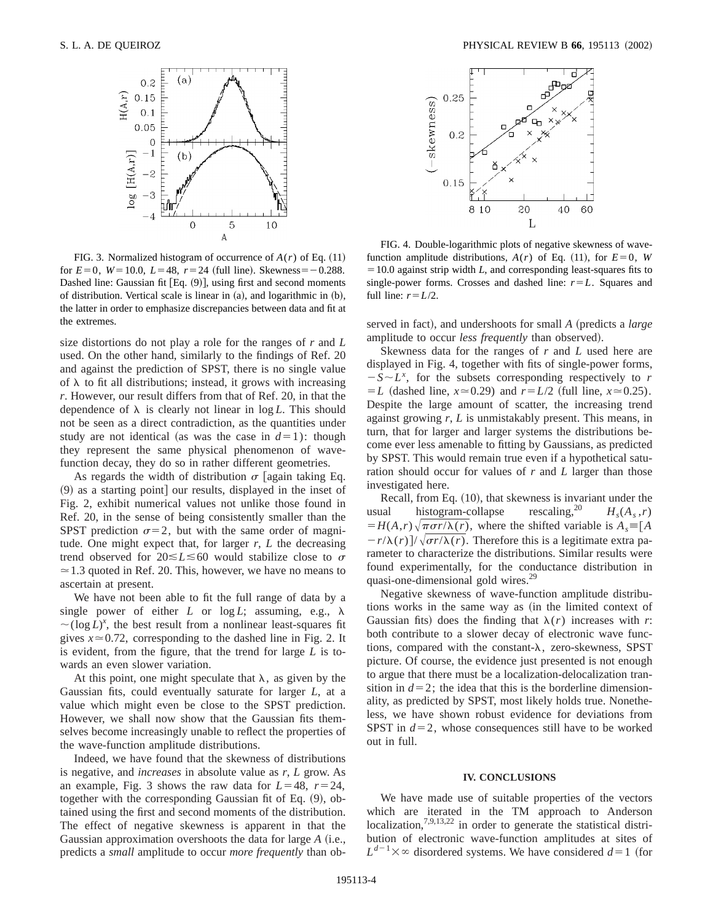

FIG. 3. Normalized histogram of occurrence of  $A(r)$  of Eq. (11) for  $E=0$ ,  $W=10.0$ ,  $L=48$ ,  $r=24$  (full line). Skewness = -0.288. Dashed line: Gaussian fit [Eq.  $(9)$ ], using first and second moments of distribution. Vertical scale is linear in  $(a)$ , and logarithmic in  $(b)$ , the latter in order to emphasize discrepancies between data and fit at the extremes.

size distortions do not play a role for the ranges of *r* and *L* used. On the other hand, similarly to the findings of Ref. 20 and against the prediction of SPST, there is no single value of  $\lambda$  to fit all distributions; instead, it grows with increasing *r*. However, our result differs from that of Ref. 20, in that the dependence of  $\lambda$  is clearly not linear in  $\log L$ . This should not be seen as a direct contradiction, as the quantities under study are not identical (as was the case in  $d=1$ ): though they represent the same physical phenomenon of wavefunction decay, they do so in rather different geometries.

As regards the width of distribution  $\sigma$  [again taking Eq.  $(9)$  as a starting point] our results, displayed in the inset of Fig. 2, exhibit numerical values not unlike those found in Ref. 20, in the sense of being consistently smaller than the SPST prediction  $\sigma$ =2, but with the same order of magnitude. One might expect that, for larger *r*, *L* the decreasing trend observed for  $20 \le L \le 60$  would stabilize close to  $\sigma$  $\approx$  1.3 quoted in Ref. 20. This, however, we have no means to ascertain at present.

We have not been able to fit the full range of data by a single power of either *L* or  $log L$ ; assuming, e.g.,  $\lambda$  $\sim$ (log *L*)<sup>x</sup>, the best result from a nonlinear least-squares fit gives  $x \approx 0.72$ , corresponding to the dashed line in Fig. 2. It is evident, from the figure, that the trend for large *L* is towards an even slower variation.

At this point, one might speculate that  $\lambda$ , as given by the Gaussian fits, could eventually saturate for larger *L*, at a value which might even be close to the SPST prediction. However, we shall now show that the Gaussian fits themselves become increasingly unable to reflect the properties of the wave-function amplitude distributions.

Indeed, we have found that the skewness of distributions is negative, and *increases* in absolute value as *r*, *L* grow. As an example, Fig. 3 shows the raw data for  $L=48$ ,  $r=24$ , together with the corresponding Gaussian fit of Eq.  $(9)$ , obtained using the first and second moments of the distribution. The effect of negative skewness is apparent in that the Gaussian approximation overshoots the data for large *A* (i.e., predicts a *small* amplitude to occur *more frequently* than ob-



FIG. 4. Double-logarithmic plots of negative skewness of wavefunction amplitude distributions,  $A(r)$  of Eq. (11), for  $E=0$ , *W*  $=10.0$  against strip width *L*, and corresponding least-squares fits to single-power forms. Crosses and dashed line:  $r = L$ . Squares and full line:  $r = L/2$ .

served in fact), and undershoots for small *A* (predicts a *large* amplitude to occur *less frequently* than observed).

Skewness data for the ranges of *r* and *L* used here are displayed in Fig. 4, together with fits of single-power forms,  $-S \sim L^{x}$ , for the subsets corresponding respectively to *r*  $= L$  (dashed line,  $x \approx 0.29$ ) and  $r = L/2$  (full line,  $x \approx 0.25$ ). Despite the large amount of scatter, the increasing trend against growing *r*, *L* is unmistakably present. This means, in turn, that for larger and larger systems the distributions become ever less amenable to fitting by Gaussians, as predicted by SPST. This would remain true even if a hypothetical saturation should occur for values of *r* and *L* larger than those investigated here.

Recall, from Eq.  $(10)$ , that skewness is invariant under the usual histogram-collapse rescaling,<sup>20</sup>  $H_s(A_s, r)$  $H(A,r)\sqrt{\pi\sigma r/\lambda(r)}$ , where the shifted variable is  $A_s = [A, \lambda]$  $-r/\lambda(r)/\sqrt{\sigma r/\lambda(r)}$ . Therefore this is a legitimate extra parameter to characterize the distributions. Similar results were found experimentally, for the conductance distribution in quasi-one-dimensional gold wires.<sup>29</sup>

Negative skewness of wave-function amplitude distributions works in the same way as (in the limited context of Gaussian fits) does the finding that  $\lambda(r)$  increases with *r*: both contribute to a slower decay of electronic wave functions, compared with the constant- $\lambda$ , zero-skewness, SPST picture. Of course, the evidence just presented is not enough to argue that there must be a localization-delocalization transition in  $d=2$ ; the idea that this is the borderline dimensionality, as predicted by SPST, most likely holds true. Nonetheless, we have shown robust evidence for deviations from SPST in  $d=2$ , whose consequences still have to be worked out in full.

#### **IV. CONCLUSIONS**

We have made use of suitable properties of the vectors which are iterated in the TM approach to Anderson localization,  $7,9,13,22$  in order to generate the statistical distribution of electronic wave-function amplitudes at sites of  $L^{d-1} \times \infty$  disordered systems. We have considered *d*=1 (for